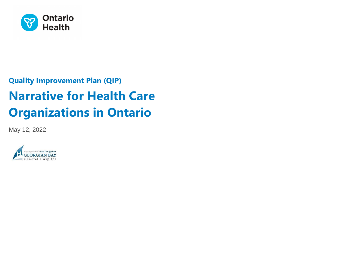

# **Quality Improvement Plan (QIP) Narrative for Health Care Organizations in Ontario**

May 12, 2022

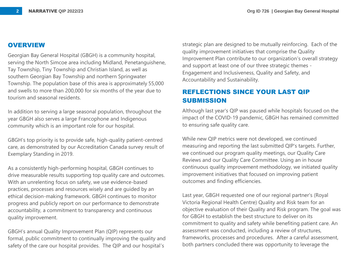#### **OVERVIEW**

Georgian Bay General Hospital (GBGH) is a community hospital, serving the North Simcoe area including Midland, Penetanguishene, Tay Township, Tiny Township and Christian Island, as well as southern Georgian Bay Township and northern Springwater Township. The population base of this area is approximately 55,000 and swells to more than 200,000 for six months of the year due to tourism and seasonal residents.

In addition to serving a large seasonal population, throughout the year GBGH also serves a large Francophone and Indigenous community which is an important role for our hospital.

GBGH's top priority is to provide safe, high-quality patient-centred care, as demonstrated by our Accreditation Canada survey result of Exemplary Standing in 2019.

As a consistently high-performing hospital, GBGH continues to drive measurable results supporting top quality care and outcomes. With an unrelenting focus on safety, we use evidence-based practices, processes and resources wisely and are guided by an ethical decision-making framework. GBGH continues to monitor progress and publicly report on our performance to demonstrate accountability, a commitment to transparency and continuous quality improvement.

GBGH's annual Quality Improvement Plan (QIP) represents our formal, public commitment to continually improving the quality and safety of the care our hospital provides. The QIP and our hospital's

strategic plan are designed to be mutually reinforcing. Each of the quality improvement initiatives that comprise the Quality Improvement Plan contribute to our organization's overall strategy and support at least one of our three strategic themes - Engagement and Inclusiveness, Quality and Safety, and Accountability and Sustainability.

# **REFLECTIONS SINCE YOUR LAST QIP SUBMISSION**

Although last year's QIP was paused while hospitals focused on the impact of the COVID-19 pandemic, GBGH has remained committed to ensuring safe quality care.

While new QIP metrics were not developed, we continued measuring and reporting the last submitted QIP's targets. Further, we continued our program quality meetings, our Quality Care Reviews and our Quality Care Committee. Using an in house continuous quality improvement methodology, we initiated quality improvement initiatives that focused on improving patient outcomes and finding efficiencies.

Last year, GBGH requested one of our regional partner's (Royal Victoria Regional Health Centre) Quality and Risk team for an objective evaluation of their Quality and Risk program. The goal was for GBGH to establish the best structure to deliver on its commitment to quality and safety while benefiting patient care. An assessment was conducted, including a review of structures, frameworks, processes and procedures. After a careful assessment, both partners concluded there was opportunity to leverage the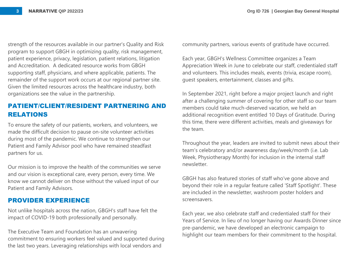strength of the resources available in our partner's Quality and Risk program to support GBGH in optimizing quality, risk management, patient experience, privacy, legislation, patient relations, litigation and Accreditation. A dedicated resource works from GBGH supporting staff, physicians, and where applicable, patients. The remainder of the support work occurs at our regional partner site. Given the limited resources across the healthcare industry, both organizations see the value in the partnership.

# **PATIENT/CLIENT/RESIDENT PARTNERING AND RELATIONS**

To ensure the safety of our patients, workers, and volunteers, we made the difficult decision to pause on-site volunteer activities during most of the pandemic. We continue to strengthen our Patient and Family Advisor pool who have remained steadfast partners for us.

Our mission is to improve the health of the communities we serve and our vision is exceptional care, every person, every time. We know we cannot deliver on those without the valued input of our Patient and Family Advisors.

## **PROVIDER EXPERIENCE**

Not unlike hospitals across the nation, GBGH's staff have felt the impact of COVID-19 both professionally and personally.

The Executive Team and Foundation has an unwavering commitment to ensuring workers feel valued and supported during the last two years. Leveraging relationships with local vendors and

community partners, various events of gratitude have occurred.

Each year, GBGH's Wellness Committee organizes a Team Appreciation Week in June to celebrate our staff, credentialed staff and volunteers. This includes meals, events (trivia, escape room), guest speakers, entertainment, classes and gifts.

In September 2021, right before a major project launch and right after a challenging summer of covering for other staff so our team members could take much-deserved vacation, we held an additional recognition event entitled 10 Days of Gratitude. During this time, there were different activities, meals and giveaways for the team.

Throughout the year, leaders are invited to submit news about their team's celebratory and/or awareness day/week/month (i.e. Lab Week, Physiotherapy Month) for inclusion in the internal staff newsletter.

GBGH has also featured stories of staff who've gone above and beyond their role in a regular feature called 'Staff Spotlight'. These are included in the newsletter, washroom poster holders and screensavers.

Each year, we also celebrate staff and credentialed staff for their Years of Service. In lieu of no longer having our Awards Dinner since pre-pandemic, we have developed an electronic campaign to highlight our team members for their commitment to the hospital.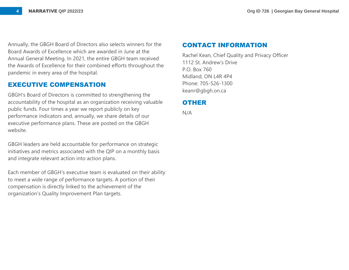Annually, the GBGH Board of Directors also selects winners for the Board Awards of Excellence which are awarded in June at the Annual General Meeting. In 2021, the entire GBGH team received the Awards of Excellence for their combined efforts throughout the pandemic in every area of the hospital.

### **EXECUTIVE COMPENSATION**

GBGH's Board of Directors is committed to strengthening the accountability of the hospital as an organization receiving valuable public funds. Four times a year we report publicly on key performance indicators and, annually, we share details of our executive performance plans. These are posted on the GBGH website.

GBGH leaders are held accountable for performance on strategic initiatives and metrics associated with the QIP on a monthly basis and integrate relevant action into action plans.

Each member of GBGH's executive team is evaluated on their ability to meet a wide range of performance targets. A portion of their compensation is directly linked to the achievement of the organization's Quality Improvement Plan targets.

#### **CONTACT INFORMATION**

Rachel Kean, Chief Quality and Privacy Officer 1112 St. Andrew's Drive P.O. Box 760 Midland, ON L4R 4P4 Phone: 705-526-1300 keanr@gbgh.on.ca

### **OTHER**

N/A